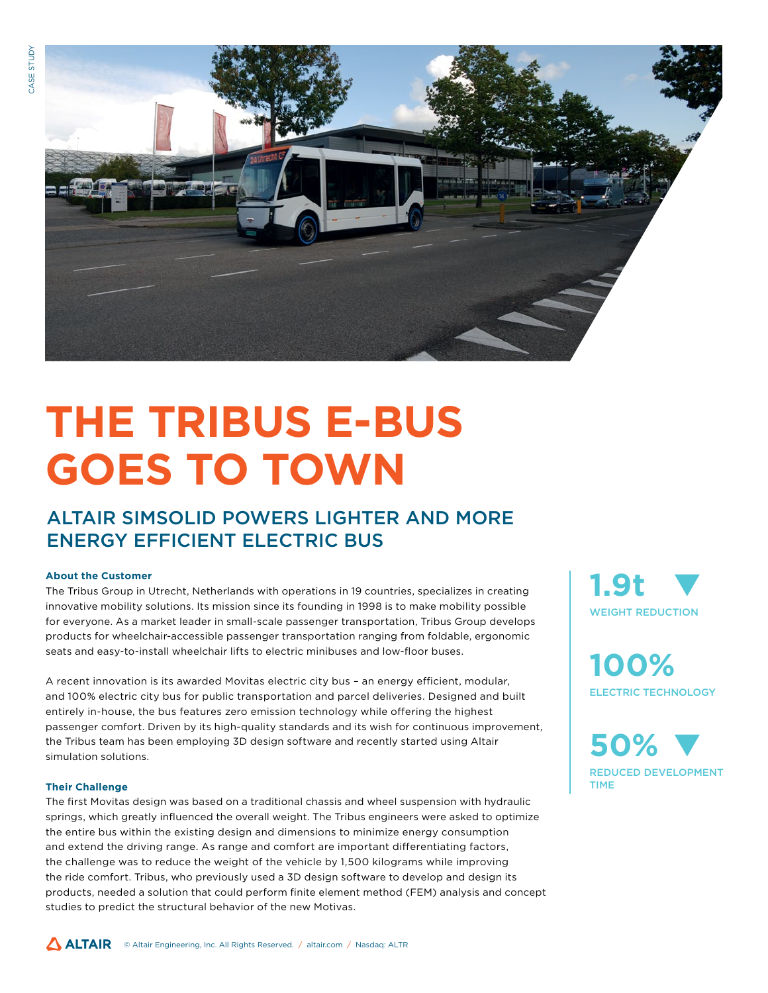

# **THE TRIBUS E-BUS GOES TO TOWN**

## ALTAIR SIMSOLID POWERS LIGHTER AND MORE ENERGY EFFICIENT ELECTRIC BUS

#### **About the Customer**

The Tribus Group in Utrecht, Netherlands with operations in 19 countries, specializes in creating innovative mobility solutions. Its mission since its founding in 1998 is to make mobility possible for everyone. As a market leader in small-scale passenger transportation, Tribus Group develops products for wheelchair-accessible passenger transportation ranging from foldable, ergonomic seats and easy-to-install wheelchair lifts to electric minibuses and low-floor buses.

A recent innovation is its awarded Movitas electric city bus – an energy efficient, modular, and 100% electric city bus for public transportation and parcel deliveries. Designed and built entirely in-house, the bus features zero emission technology while offering the highest passenger comfort. Driven by its high-quality standards and its wish for continuous improvement, the Tribus team has been employing 3D design software and recently started using Altair simulation solutions.

#### **Their Challenge**

The first Movitas design was based on a traditional chassis and wheel suspension with hydraulic springs, which greatly influenced the overall weight. The Tribus engineers were asked to optimize the entire bus within the existing design and dimensions to minimize energy consumption and extend the driving range. As range and comfort are important differentiating factors, the challenge was to reduce the weight of the vehicle by 1,500 kilograms while improving the ride comfort. Tribus, who previously used a 3D design software to develop and design its products, needed a solution that could perform finite element method (FEM) analysis and concept studies to predict the structural behavior of the new Motivas.



**100%** ELECTRIC TECHNOLOGY

**50%** REDUCED DEVELOPMENT TIME